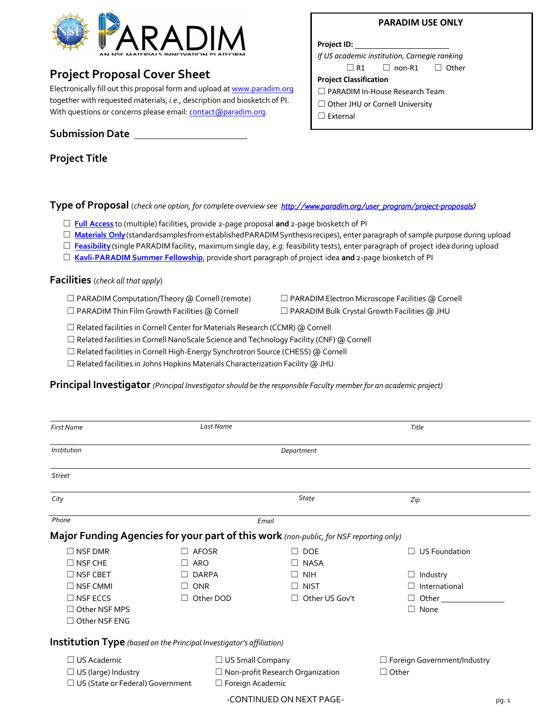

# **Project Proposal Cover Sheet**

Electronically fill out this proposal form and upload at www.paradim.org together with requested materials, *i.e.*, description and biosketch of PI. With questions or concerns please email: **contact** (aparadim.org.

**Submission Date** 

**Project Title**

# **Type of Proposal** (*check one option, for complete overview see http://www.paradim.org/user\_program/project-proposals)*

- ☐ **Full [Access](https://www.paradim.org/User_Program/project-proposals#lab)** to (multiple) facilities, provide 2-page proposal **and** 2-page biosketch of PI
- □ **[Materials](https://www.paradim.org/User_Program/project-proposals#materials) Only** (standardsamplesfrom establishedPARADIM Synthesisrecipes), enter paragraph of sample purpose during upload
- ☐ **[Feasibility](https://www.paradim.org/User_Program/project-proposals#feasibility)** (single PARADIM facility, maximum single day, *e.g.* feasibility tests), enter paragraph of project idea during upload
- ☐ **[Kavli-PARADIM Summer](https://www.paradim.org/User_Program/kavli_paradim_fellowship) Fellowship**, provide short paragraph of project idea **and** 2-page biosketch of PI

**Facilities** (*check all that apply*)

- 
- ☐ PARADIM Computation/Theory @ Cornell (remote) ☐ PARADIM Electron Microscope Facilities @ Cornell
- ☐ PARADIM Thin Film Growth Facilities @ Cornell ☐ PARADIM Bulk Crystal Growth Facilities @ JHU
- 

□ Related facilities in Cornell Center for Materials Research (CCMR) @ Cornell

 $\Box$  Related facilities in Cornell NanoScale Science and Technology Facility (CNF) @ Cornell

☐ Related facilities in Cornell High-Energy Synchrotron Source (CHESS) @ Cornell

☐ Related facilities in Johns Hopkins Materials Characterization Facility @ JHU

**Principal Investigator** *(Principal Investigatorshould be the responsible Faculty member for an academic project)*

| <b>First Name</b>                                                                      | Last Name  |                         |                                    | Title                              |  |  |
|----------------------------------------------------------------------------------------|------------|-------------------------|------------------------------------|------------------------------------|--|--|
| Institution                                                                            |            |                         |                                    |                                    |  |  |
| <b>Street</b>                                                                          |            |                         |                                    |                                    |  |  |
| City                                                                                   |            |                         | State                              | Zip                                |  |  |
| Phone<br>Email                                                                         |            |                         |                                    |                                    |  |  |
| Major Funding Agencies for your part of this work (non-public, for NSF reporting only) |            |                         |                                    |                                    |  |  |
| $\Box$ NSF DMR                                                                         |            | <b>AFOSR</b>            | <b>DOE</b><br>$\mathbf{L}$         | <b>US Foundation</b>               |  |  |
| $\Box$ NSF CHE                                                                         | <b>ARO</b> |                         | <b>NASA</b><br>П                   |                                    |  |  |
| $\Box$ NSF CBET                                                                        |            | <b>DARPA</b>            | <b>NIH</b><br>$\perp$              | $\Box$ Industry                    |  |  |
| $\Box$ NSF CMMI                                                                        | <b>ONR</b> |                         | <b>NIST</b><br>$\perp$             | International                      |  |  |
| $\Box$ NSF ECCS                                                                        | $\perp$    | Other DOD               | Other US Gov't<br>П                | $\Box$ Other                       |  |  |
| $\Box$ Other NSF MPS                                                                   |            |                         |                                    | $\Box$ None                        |  |  |
| $\Box$ Other NSF ENG                                                                   |            |                         |                                    |                                    |  |  |
| Institution Type (based on the Principal Investigator's affiliation)                   |            |                         |                                    |                                    |  |  |
| $\Box$ US Academic                                                                     |            |                         | $\Box$ US Small Company            | $\Box$ Foreign Government/Industry |  |  |
| $\Box$ US (large) Industry                                                             |            |                         | □ Non-profit Research Organization | $\Box$ Other                       |  |  |
| □ US (State or Federal) Government                                                     |            | $\Box$ Foreign Academic |                                    |                                    |  |  |

-CONTINUED ON NEXT PAGE-<br>
pg. 1

## **PARADIM USE ONLY**

**Project ID:** 

*If US academic institution, Carnegie ranking*

#### **Project Classification**

- ☐ PARADIM In-House Research Team
- □ Other JHU or Cornell University
- □ External